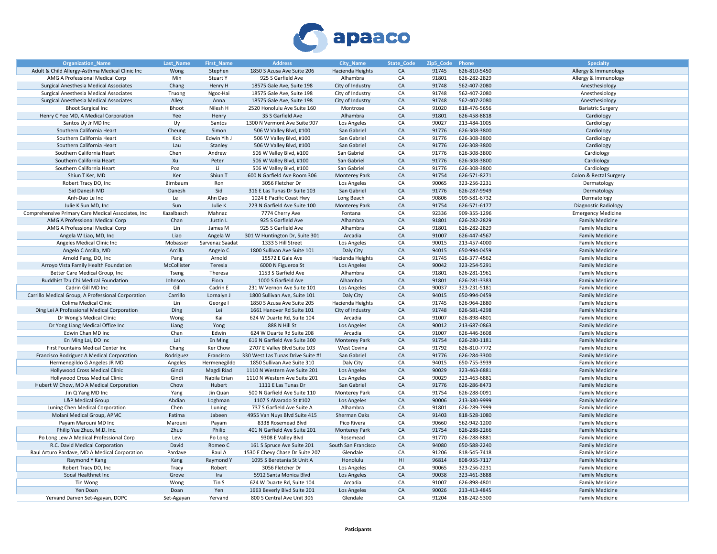

| <b>Organization Name</b>                           | <b>Last Name</b> | <b>First Name</b> | <b>Address</b>                    | <b>City Name</b>     | <b>State Code</b> | Zip5 Code | Phone        | <b>Specialty</b>            |
|----------------------------------------------------|------------------|-------------------|-----------------------------------|----------------------|-------------------|-----------|--------------|-----------------------------|
| Adult & Child Allergy-Asthma Medical Clinic Inc    | Wong             | Stephen           | 1850 S Azusa Ave Suite 206        | Hacienda Heights     | CA                | 91745     | 626-810-5450 | Allergy & Immunology        |
| AMG A Professional Medical Corp                    | Min              | <b>Stuart Y</b>   | 925 S Garfield Ave                | Alhambra             | CA                | 91801     | 626-282-2829 | Allergy & Immunology        |
| Surgical Anesthesia Medical Associates             | Chang            | Henry H           | 18575 Gale Ave, Suite 198         | City of Industry     | CA                | 91748     | 562-407-2080 | Anesthesiology              |
| Surgical Anesthesia Medical Associates             | Truong           | Ngoc-Hai          | 18575 Gale Ave, Suite 198         | City of Industry     | CA                | 91748     | 562-407-2080 | Anesthesiology              |
| Surgical Anesthesia Medical Associates             | Alley            | Anna              | 18575 Gale Ave, Suite 198         | City of Industry     | ${\sf CA}$        | 91748     | 562-407-2080 | Anesthesiology              |
| <b>Bhoot Surgical Inc</b>                          | Bhoot            | Nilesh H          | 2520 Honolulu Ave Suite 160       | Montrose             | CA                | 91020     | 818-476-5656 | <b>Bariatric Surgery</b>    |
| Henry C Yee MD, A Medical Corporation              | Yee              | Henry             | 35 S Garfield Ave                 | Alhambra             | ${\sf CA}$        | 91801     | 626-458-8818 | Cardiology                  |
| Santos Uy Jr MD Inc                                | Uy               | Santos            | 1300 N Vermont Ave Suite 907      | Los Angeles          | CA                | 90027     | 213-484-1005 | Cardiology                  |
| Southern California Heart                          | Cheung           | Simon             | 506 W Valley Blvd, #100           | San Gabriel          | CA                | 91776     | 626-308-3800 | Cardiology                  |
| Southern California Heart                          | Kok              | Edwin Yih J       | 506 W Valley Blvd, #100           | San Gabriel          | CA                | 91776     | 626-308-3800 | Cardiology                  |
| Southern California Heart                          | Lau              | Stanley           | 506 W Valley Blvd, #100           | San Gabriel          | CA                | 91776     | 626-308-3800 | Cardiology                  |
| Southern California Heart                          | Chen             | Andrew            | 506 W Valley Blvd, #100           | San Gabriel          | CA                | 91776     | 626-308-3800 | Cardiology                  |
| Southern California Heart                          | Xu               | Peter             | 506 W Valley Blvd, #100           | San Gabriel          | CA                | 91776     | 626-308-3800 | Cardiology                  |
| Southern California Heart                          | Poa              | Li                | 506 W Valley Blvd, #100           | San Gabriel          | CA                | 91776     | 626-308-3800 | Cardiology                  |
| Shiun T Ker, MD                                    | Ker              | Shiun T           | 600 N Garfield Ave Room 306       | <b>Monterey Park</b> | CA                | 91754     | 626-571-8271 | Colon & Rectal Surgery      |
| Robert Tracy DO, Inc                               | Birnbaum         | Ron               | 3056 Fletcher Dr                  | Los Angeles          | CA                | 90065     | 323-256-2231 | Dermatology                 |
| Sid Danesh MD                                      | Danesh           | Sid               | 316 E Las Tunas Dr Suite 103      | San Gabriel          | CA                | 91776     | 626-287-9949 | Dermatology                 |
| Anh-Dao Le Inc                                     | Le               | Ahn Dao           | 1024 E Pacific Coast Hwy          | Long Beach           | CA                | 90806     | 909-581-6732 | Dermatology                 |
| Julie K Sun MD, Inc                                | Sun              | Julie K           | 223 N Garfield Ave Suite 100      | <b>Monterey Park</b> | CA                | 91754     | 626-571-6177 | <b>Diagnostic Radiology</b> |
|                                                    |                  |                   |                                   |                      |                   |           |              |                             |
| Comprehensive Primary Care Medical Associates, Inc | Kazalbasch       | Mahnaz            | 7774 Cherry Ave                   | Fontana              | CA                | 92336     | 909-355-1296 | <b>Emergency Medicine</b>   |
| AMG A Professional Medical Corp                    | Chan             | Justin L          | 925 S Garfield Ave                | Alhambra             | CA                | 91801     | 626-282-2829 | <b>Family Medicine</b>      |
| AMG A Professional Medical Corp                    | Lin              | James M           | 925 S Garfield Ave                | Alhambra             | CA                | 91801     | 626-282-2829 | <b>Family Medicine</b>      |
| Angela W Liao, MD, Inc                             | Liao             | Angela W          | 301 W Huntington Dr, Suite 301    | Arcadia              | CA                | 91007     | 626-447-4567 | <b>Family Medicine</b>      |
| Angeles Medical Clinic Inc                         | Mobasser         | Sarvenaz Saadat   | 1333 S Hill Street                | Los Angeles          | CA                | 90015     | 213-457-4000 | <b>Family Medicine</b>      |
| Angelo C Arcilla, MD                               | Arcilla          | Angelo C          | 1800 Sullivan Ave Suite 101       | Daly City            | CA                | 94015     | 650-994-0459 | <b>Family Medicine</b>      |
| Arnold Pang, DO, Inc                               | Pang             | Arnold            | 15572 E Gale Ave                  | Hacienda Heights     | CA                | 91745     | 626-377-4562 | <b>Family Medicine</b>      |
| Arroyo Vista Family Health Foundation              | McCollister      | Teresia           | 6000 N Figueroa St                | Los Angeles          | CA                | 90042     | 323-254-5291 | <b>Family Medicine</b>      |
| Better Care Medical Group, Inc                     | Tseng            | Theresa           | 1153 S Garfield Ave               | Alhambra             | CA                | 91801     | 626-281-1961 | <b>Family Medicine</b>      |
| Buddhist Tzu Chi Medical Foundation                | Johnson          | Flora             | 1000 S Garfield Ave               | Alhambra             | CA                | 91801     | 626-281-3383 | <b>Family Medicine</b>      |
| Cadrin Gill MD Inc                                 | Gill             | Cadrin E          | 231 W Vernon Ave Suite 101        | Los Angeles          | CA                | 90037     | 323-231-5181 | <b>Family Medicine</b>      |
| Carrillo Medical Group, A Professional Corporation | Carrillo         | Lornalyn J        | 1800 Sullivan Ave, Suite 101      | Daly City            | CA                | 94015     | 650-994-0459 | <b>Family Medicine</b>      |
| Colima Medical Clinic                              | Lin              | George I          | 1850 S Azusa Ave Suite 205        | Hacienda Heights     | CA                | 91745     | 626-964-2880 | <b>Family Medicine</b>      |
| Ding Lei A Professional Medical Corporation        | Ding             | Lei               | 1661 Hanover Rd Suite 101         | City of Industry     | CA                | 91748     | 626-581-4298 | <b>Family Medicine</b>      |
| Dr Wong's Medical Clinic                           | Wong             | Kai               | 624 W Duarte Rd, Suite 104        | Arcadia              | CA                | 91007     | 626-898-4801 | <b>Family Medicine</b>      |
| Dr Yong Liang Medical Office Inc                   | Liang            | Yong              | 888 N Hill St                     | Los Angeles          | CA                | 90012     | 213-687-0863 | <b>Family Medicine</b>      |
| Edwin Chan MD Inc                                  | Chan             | Edwin             | 624 W Duarte Rd Suite 208         | Arcadia              | CA                | 91007     | 626-446-3608 | <b>Family Medicine</b>      |
| En Ming Lai, DO Inc                                | Lai              | En Ming           | 616 N Garfield Ave Suite 300      | <b>Monterey Park</b> | CA                | 91754     | 626-280-1181 | <b>Family Medicine</b>      |
| First Fountains Medical Center Inc                 | Chang            | <b>Ker Chow</b>   | 2707 E Valley Blvd Suite 103      | West Covina          | CA                | 91792     | 626-810-7772 | <b>Family Medicine</b>      |
| Francisco Rodriguez A Medical Corporation          | Rodriguez        | Francisco         | 330 West Las Tunas Drive Suite #1 | San Gabriel          | CA                | 91776     | 626-284-3300 | <b>Family Medicine</b>      |
| Hermenegildo G Angeles JR MD                       | Angeles          | Hermenegildo      | 1850 Sullivan Ave Suite 310       | Daly City            | CA                | 94015     | 650-755-3939 | <b>Family Medicine</b>      |
| Hollywood Cross Medical Clinic                     | Gindi            | Magdi Riad        | 1110 N Western Ave Suite 201      | Los Angeles          | CA                | 90029     | 323-463-6881 | <b>Family Medicine</b>      |
| Hollywood Cross Medical Clinic                     | Gindi            | Nabila Erian      | 1110 N Western Ave Suite 201      | Los Angeles          | CA                | 90029     | 323-463-6881 | <b>Family Medicine</b>      |
| Hubert W Chow, MD A Medical Corporation            | Chow             | Hubert            | 1111 E Las Tunas Dr               | San Gabriel          | CA                | 91776     | 626-286-8473 | <b>Family Medicine</b>      |
| Jin Q Yang MD Inc                                  | Yang             | Jin Quan          | 500 N Garfield Ave Suite 110      | <b>Monterey Park</b> | CA                | 91754     | 626-288-0091 | <b>Family Medicine</b>      |
| L&P Medical Group                                  | Abdian           | Loghman           | 1107 S Alvarado St #102           | Los Angeles          | CA                | 90006     | 213-380-9999 | <b>Family Medicine</b>      |
| Luning Chen Medical Corporation                    | Chen             | Luning            | 737 S Garfield Ave Suite A        | Alhambra             | CA                | 91801     | 626-289-7999 | <b>Family Medicine</b>      |
| Molani Medical Group, APMC                         | Fatima           | Jabeen            | 4955 Van Nuys Blvd Suite 415      | Sherman Oaks         | CA                | 91403     | 818-528-1080 | <b>Family Medicine</b>      |
| Payam Marouni MD Inc                               | Marouni          | Payam             | 8338 Rosemead Blvd                | Pico Rivera          | CA                | 90660     | 562-942-1200 | <b>Family Medicine</b>      |
| Philip Yue Zhuo, M.D. Inc.                         | Zhuo             | Philip            | 401 N Garfield Ave Suite 201      | Monterey Park        | CA                | 91754     | 626-288-2266 | <b>Family Medicine</b>      |
| Po Long Lew A Medical Professional Corp            | Lew              | Po Long           | 9308 E Valley Blvd                | Rosemead             | CA                | 91770     | 626-288-8881 | <b>Family Medicine</b>      |
| R.C. David Medical Corporation                     | David            | Romeo C           | 161 S Spruce Ave Suite 201        | South San Francisco  | CA                | 94080     | 650-588-2240 | <b>Family Medicine</b>      |
| Raul Arturo Pardave, MD A Medical Corporation      | Pardave          | Raul A            | 1530 E Chevy Chase Dr Suite 207   | Glendale             | CA                | 91206     | 818-545-7418 | <b>Family Medicine</b>      |
| Raymond Y Kang                                     | Kang             | Raymond Y         | 1095 S Beretania St Unit A        | Honolulu             | HI                | 96814     | 808-955-7117 | <b>Family Medicine</b>      |
| Robert Tracy DO, Inc                               | Tracy            | Robert            | 3056 Fletcher Dr                  | Los Angeles          | CA                | 90065     | 323-256-2231 | <b>Family Medicine</b>      |
| Socal Healthnet Inc                                | Grove            | Ira               | 5912 Santa Monica Blvd            | Los Angeles          | CA                | 90038     | 323-461-3888 | <b>Family Medicine</b>      |
| Tin Wong                                           | Wong             | Tin S             | 624 W Duarte Rd, Suite 104        | Arcadia              | CA                | 91007     | 626-898-4801 | <b>Family Medicine</b>      |
| Yen Doan                                           | Doan             | Yen               | 1663 Beverly Blvd Suite 201       | Los Angeles          | CA                | 90026     | 213-413-4845 | <b>Family Medicine</b>      |
| Yervand Darven Set-Agayan, DOPC                    | Set-Agayan       | Yervand           | 800 S Central Ave Unit 306        | Glendale             | CA                | 91204     | 818-242-5300 | <b>Family Medicine</b>      |
|                                                    |                  |                   |                                   |                      |                   |           |              |                             |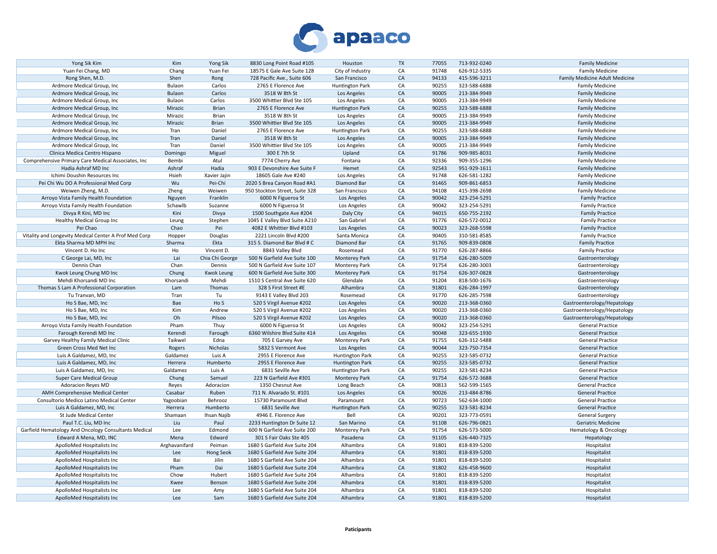

| Yong Sik Kim                                          | Kim           | <b>Yong Sik</b>   | 8830 Long Point Road #105      | Houston                | <b>TX</b> | 77055 | 713-932-0240 | <b>Family Medicine</b>         |
|-------------------------------------------------------|---------------|-------------------|--------------------------------|------------------------|-----------|-------|--------------|--------------------------------|
| Yuan Fei Chang, MD                                    | Chang         | Yuan Fei          | 18575 E Gale Ave Suite 128     | City of Industry       | CA        | 91748 | 626-912-5335 | <b>Family Medicine</b>         |
| Rong Shen, M.D.                                       | Shen          | Rong              | 728 Pacific Ave., Suite 606    | San Francisco          | CA        | 94133 | 415-596-3211 | Family Medicine Adult Medicine |
| Ardmore Medical Group, Inc                            | Bulaon        | Carlos            | 2765 E Florence Ave            | <b>Huntington Park</b> | CA        | 90255 | 323-588-6888 | <b>Family Medicine</b>         |
| Ardmore Medical Group, Inc.                           | Bulaon        | Carlos            | 3518 W 8th St                  | Los Angeles            | CA        | 90005 | 213-384-9949 | <b>Family Medicine</b>         |
| Ardmore Medical Group, Inc.                           | Bulaon        | Carlos            | 3500 Whittier Blvd Ste 105     | Los Angeles            | CA        | 90005 | 213-384-9949 | <b>Family Medicine</b>         |
| Ardmore Medical Group, Inc.                           | Mirazic       | <b>Brian</b>      | 2765 E Florence Ave            | <b>Huntington Park</b> | CA        | 90255 | 323-588-6888 | <b>Family Medicine</b>         |
| Ardmore Medical Group, Inc.                           | Mirazic       | Brian             | 3518 W 8th St                  | Los Angeles            | CA        | 90005 | 213-384-9949 | <b>Family Medicine</b>         |
| Ardmore Medical Group, Inc.                           | Mirazic       | Brian             | 3500 Whittier Blvd Ste 105     |                        | CA        | 90005 | 213-384-9949 |                                |
|                                                       |               |                   |                                | Los Angeles            |           |       |              | <b>Family Medicine</b>         |
| Ardmore Medical Group, Inc                            | Tran          | Daniel            | 2765 E Florence Ave            | <b>Huntington Park</b> | CA        | 90255 | 323-588-6888 | <b>Family Medicine</b>         |
| Ardmore Medical Group, Inc                            | Tran          | Daniel            | 3518 W 8th St                  | Los Angeles            | CA        | 90005 | 213-384-9949 | <b>Family Medicine</b>         |
| Ardmore Medical Group, Inc                            | Tran          | Daniel            | 3500 Whittier Blvd Ste 105     | Los Angeles            | CA        | 90005 | 213-384-9949 | <b>Family Medicine</b>         |
| Clinica Medica Centro Hispano                         | Domingo       | Miguel            | 300 E 7th St                   | Upland                 | CA        | 91786 | 909-985-8031 | <b>Family Medicine</b>         |
| Comprehensive Primary Care Medical Associates, Inc    | Bembi         | Atul              | 7774 Cherry Ave                | Fontana                | CA        | 92336 | 909-355-1296 | <b>Family Medicine</b>         |
| Hadia Ashraf MD Inc                                   | Ashraf        | Hadia             | 903 E Devonshire Ave Suite F   | Hemet                  | CA        | 92543 | 951-929-1611 | <b>Family Medicine</b>         |
| Ichimi Doushin Resources Inc                          | Hsieh         | Xavier Jajin      | 18605 Gale Ave #240            | Los Angeles            | CA        | 91748 | 626-581-1282 | <b>Family Medicine</b>         |
| Pei Chi Wu DO A Professional Med Corp                 | Wu            | Pei-Chi           | 2020 S Brea Canyon Road #A1    | Diamond Bar            | CA        | 91465 | 909-861-6853 | <b>Family Medicine</b>         |
| Weiwen Zheng, M.D.                                    | Zheng         | Weiwen            | 950 Stockton Street, Suite 328 | San Francisco          | CA        | 94108 | 415-398-2698 | <b>Family Medicine</b>         |
| Arroyo Vista Family Health Foundation                 | Nguyen        | Franklin          | 6000 N Figueroa St             | Los Angeles            | CA        | 90042 | 323-254-5291 | <b>Family Practice</b>         |
| Arroyo Vista Family Health Foundation                 | Schawlb       | Suzanne           | 6000 N Figueroa St             | Los Angeles            | CA        | 90042 | 323-254-5291 | <b>Family Practice</b>         |
| Divya R Kini, MD Inc                                  | Kini          | Divya             | 1500 Southgate Ave #204        | Daly City              | CA        | 94015 | 650-755-2192 | <b>Family Practice</b>         |
| Healthy Medical Group Inc                             | Leung         | Stephen           | 1045 E Valley Blvd Suite A210  | San Gabriel            | CA        | 91776 | 626-572-0012 | <b>Family Practice</b>         |
| Pei Chao                                              | Chao          | Pei               | 4082 E Whittier Blvd #103      |                        | CA        | 90023 | 323-268-5598 |                                |
|                                                       |               |                   |                                | Los Angeles            |           |       |              | <b>Family Practice</b>         |
| Vitality and Longevity Medical Center A Prof Med Corp | Hopper        | Douglas           | 2221 Lincoln Blvd #200         | Santa Monica           | CA        | 90405 | 310-581-8585 | <b>Family Practice</b>         |
| Ekta Sharma MD MPH Inc                                | Sharma        | Ekta              | 315 S. Diamond Bar Blvd # C    | Diamond Bar            | CA        | 91765 | 909-839-0808 | <b>Family Practice</b>         |
| Vincent D. Ho Inc                                     | Ho            | Vincent D.        | 8843 Valley Blvd               | Rosemead               | CA        | 91770 | 626-287-8866 | <b>Family Practice</b>         |
| C George Lai, MD, Inc                                 | Lai           | Chia Chi George   | 500 N Garfield Ave Suite 100   | <b>Monterey Park</b>   | CA        | 91754 | 626-280-5009 | Gastroenterology               |
| Dennis Chan                                           | Chan          | Dennis            | 500 N Garfield Ave Suite 107   | <b>Monterey Park</b>   | CA        | 91754 | 626-280-3003 | Gastroenterology               |
| Kwok Leung Chung MD Inc                               | Chung         | <b>Kwok Leung</b> | 600 N Garfield Ave Suite 300   | <b>Monterey Park</b>   | CA        | 91754 | 626-307-0828 | Gastroenterology               |
| Mehdi Khorsandi MD Inc                                | Khorsandi     | Mehdi             | 1510 S Central Ave Suite 620   | Glendale               | CA        | 91204 | 818-500-1676 | Gastroenterology               |
| Thomas S Lam A Professional Corporation               | Lam           | Thomas            | 328 S First Street #E          | Alhambra               | CA        | 91801 | 626-284-1997 | Gastroenterology               |
| Tu Tranvan, MD                                        | Tran          | Tu                | 9143 E Valley Blvd 203         | Rosemead               | CA        | 91770 | 626-285-7598 | Gastroenterology               |
| Ho S Bae, MD, Inc                                     | Bae           | Ho S              | 520 S Virgil Avenue #202       | Los Angeles            | CA        | 90020 | 213-368-0360 | Gastroenterology/Hepatology    |
| Ho S Bae, MD, Inc                                     | Kim           | Andrew            | 520 S Virgil Avenue #202       | Los Angeles            | CA        | 90020 | 213-368-0360 | Gastroenterology/Hepatology    |
| Ho S Bae, MD, Inc                                     | Oh            | Pilsoo            | 520 S Virgil Avenue #202       | Los Angeles            | CA        | 90020 | 213-368-0360 | Gastroenterology/Hepatology    |
| Arroyo Vista Family Health Foundation                 | Pham          | Thuy              | 6000 N Figueroa St             | Los Angeles            | CA        | 90042 | 323-254-5291 | <b>General Practice</b>        |
| Farough Kerendi MD Inc                                | Kerendi       | Farough           | 6360 Wilshire Blvd Suite 414   | Los Angeles            | CA        | 90048 | 323-655-1930 | <b>General Practice</b>        |
|                                                       |               |                   |                                |                        | CA        |       |              |                                |
| Garvey Healthy Family Medical Clinic                  | Taikwel       | Edna              | 705 E Garvey Ave               | <b>Monterey Park</b>   |           | 91755 | 626-312-5488 | <b>General Practice</b>        |
| Green Cross Med Net Inc                               | Rogers        | Nicholas          | 5832 S Vermont Ave             | Los Angeles            | CA        | 90044 | 323-750-7354 | <b>General Practice</b>        |
| Luis A Galdamez, MD, Inc.                             | Galdamez      | Luis A            | 2955 E Florence Ave            | <b>Huntington Park</b> | CA        | 90255 | 323-585-0732 | <b>General Practice</b>        |
| Luis A Galdamez, MD, Inc.                             | Herrera       | Humberto          | 2955 E Florence Ave            | <b>Huntington Park</b> | CA        | 90255 | 323-585-0732 | <b>General Practice</b>        |
| Luis A Galdamez, MD, Inc                              | Galdamez      | Luis A            | 6831 Seville Ave               | <b>Huntington Park</b> | CA        | 90255 | 323-581-8234 | <b>General Practice</b>        |
| Super Care Medical Group                              | Chung         | Samuel            | 223 N Garfield Ave #301        | <b>Monterey Park</b>   | CA        | 91754 | 626-572-3688 | <b>General Practice</b>        |
| Adoracion Reyes MD                                    | Reyes         | Adoracion         | 1350 Chesnut Ave               | Long Beach             | CA        | 90813 | 562-599-1565 | <b>General Practice</b>        |
| AMH Comprehensive Medical Center                      | Casabar       | Ruben             | 711 N. Alvarado St. #101       | Los Angeles            | CA        | 90026 | 213-484-8786 | <b>General Practice</b>        |
| Consultorio Medico Latino Medical Center              | Yagoobian     | Behrooz           | 15730 Paramount Blvd           | Paramount              | CA        | 90723 | 562-634-1000 | <b>General Practice</b>        |
| Luis A Galdamez, MD, Inc                              | Herrera       | Humberto          | 6831 Seville Ave               | <b>Huntington Park</b> | CA        | 90255 | 323-581-8234 | <b>General Practice</b>        |
| St Jude Medical Center                                | Shamaan       | Ihsan Najib       | 4946 E. Florence Ave           | Bell                   | CA        | 90201 | 323-773-0591 | General Surgery                |
| Paul T.C. Liu, MD Inc                                 | Liu           | Paul              | 2233 Huntington Dr Suite 12    | San Marino             | CA        | 91108 | 626-796-0821 | Geriatric Medicine             |
| Garfield Hematology And Oncology Consultants Medical  | Lee           | Edmond            | 600 N Garfield Ave Suite 200   | <b>Monterey Park</b>   | CA        | 91754 | 626-573-5000 | Hematology & Oncology          |
|                                                       |               |                   |                                |                        |           |       |              |                                |
| Edward A Mena, MD, INC                                | Mena          | Edward            | 301 S Fair Oaks Ste 405        | Pasadena               | CA        | 91105 | 626-440-7325 | Hepatology                     |
| ApolloMed Hospitalists Inc                            | Arghavanifard | Peiman            | 1680 S Garfield Ave Suite 204  | Alhambra               | CA        | 91801 | 818-839-5200 | Hospitalist                    |
| ApolloMed Hospitalists Inc                            | Lee           | Hong Seok         | 1680 S Garfield Ave Suite 204  | Alhambra               | CA        | 91801 | 818-839-5200 | Hospitalist                    |
| ApolloMed Hospitalists Inc                            | Bai           | Jilin             | 1680 S Garfield Ave Suite 204  | Alhambra               | CA        | 91801 | 818-839-5200 | Hospitalist                    |
| ApolloMed Hospitalists Inc                            | Pham          | Dai               | 1680 S Garfield Ave Suite 204  | Alhambra               | CA        | 91802 | 626-458-9600 | Hospitalist                    |
| ApolloMed Hospitalists Inc                            | Chow          | Hubert            | 1680 S Garfield Ave Suite 204  | Alhambra               | CA        | 91801 | 818-839-5200 | Hospitalist                    |
| ApolloMed Hospitalists Inc                            | Kwee          | Benson            | 1680 S Garfield Ave Suite 204  | Alhambra               | CA        | 91801 | 818-839-5200 | Hospitalist                    |
| ApolloMed Hospitalists Inc                            | Lee           | Amy               | 1680 S Garfield Ave Suite 204  | Alhambra               | CA        | 91801 | 818-839-5200 | Hospitalist                    |
| ApolloMed Hospitalists Inc                            | Lee           | Sam               | 1680 S Garfield Ave Suite 204  | Alhambra               | CA        | 91801 | 818-839-5200 | Hospitalist                    |
|                                                       |               |                   |                                |                        |           |       |              |                                |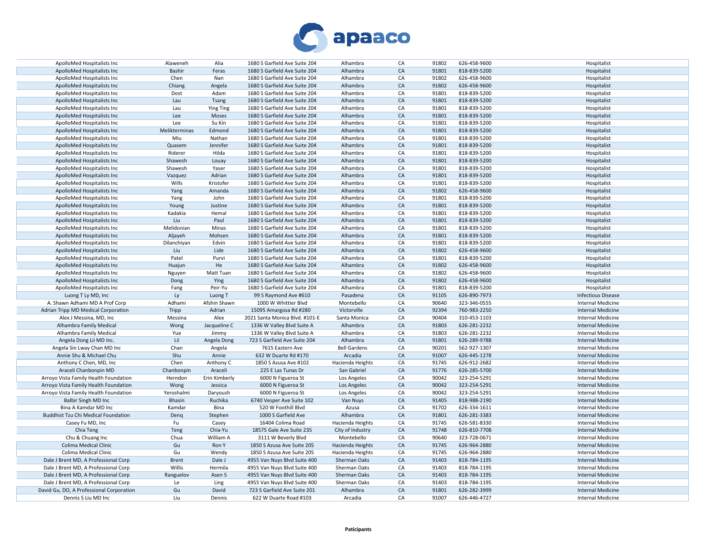

| ApolloMed Hospitalists Inc                 | Alaweneh      | Alia               | 1680 S Garfield Ave Suite 204  | Alhambra            | CA         | 91802 | 626-458-9600 | Hospitalist               |
|--------------------------------------------|---------------|--------------------|--------------------------------|---------------------|------------|-------|--------------|---------------------------|
| ApolloMed Hospitalists Inc                 | Bashir        | Feras              | 1680 S Garfield Ave Suite 204  | Alhambra            | CA         | 91801 | 818-839-5200 | Hospitalist               |
| ApolloMed Hospitalists Inc                 | Chen          | Nan                | 1680 S Garfield Ave Suite 204  | Alhambra            | CA         | 91802 | 626-458-9600 | Hospitalist               |
| ApolloMed Hospitalists Inc                 | Chiang        | Angela             | 1680 S Garfield Ave Suite 204  | Alhambra            | ${\sf CA}$ | 91802 | 626-458-9600 | Hospitalist               |
| ApolloMed Hospitalists Inc                 | Dost          | Adam               | 1680 S Garfield Ave Suite 204  | Alhambra            | CA         | 91801 | 818-839-5200 | Hospitalist               |
| ApolloMed Hospitalists Inc                 | Lau           | Tsang              | 1680 S Garfield Ave Suite 204  | Alhambra            | CA         | 91801 | 818-839-5200 | Hospitalist               |
| ApolloMed Hospitalists Inc                 | Lau           | <b>Ying Ting</b>   | 1680 S Garfield Ave Suite 204  | Alhambra            | CA         | 91801 | 818-839-5200 | Hospitalist               |
| ApolloMed Hospitalists Inc                 | Lee           | Moses              | 1680 S Garfield Ave Suite 204  | Alhambra            | CA         | 91801 | 818-839-5200 | Hospitalist               |
| ApolloMed Hospitalists Inc                 | Lee           | Su Kin             | 1680 S Garfield Ave Suite 204  | Alhambra            | CA         | 91801 | 818-839-5200 | Hospitalist               |
|                                            |               |                    |                                | Alhambra            | CA         | 91801 | 818-839-5200 |                           |
| ApolloMed Hospitalists Inc                 | Melikterminas | Edmond             | 1680 S Garfield Ave Suite 204  |                     | CA         | 91801 |              | Hospitalist               |
| ApolloMed Hospitalists Inc                 | Miu           | Nathan             | 1680 S Garfield Ave Suite 204  | Alhambra            |            |       | 818-839-5200 | Hospitalist               |
| ApolloMed Hospitalists Inc                 | Quasem        | Jennifer           | 1680 S Garfield Ave Suite 204  | Alhambra            | CA         | 91801 | 818-839-5200 | Hospitalist               |
| ApolloMed Hospitalists Inc                 | Riderer       | Hilda              | 1680 S Garfield Ave Suite 204  | Alhambra            | CA         | 91801 | 818-839-5200 | Hospitalist               |
| ApolloMed Hospitalists Inc                 | Shawesh       | Louay              | 1680 S Garfield Ave Suite 204  | Alhambra            | CA         | 91801 | 818-839-5200 | Hospitalist               |
| ApolloMed Hospitalists Inc                 | Shawesh       | Yaser              | 1680 S Garfield Ave Suite 204  | Alhambra            | CA         | 91801 | 818-839-5200 | Hospitalist               |
| ApolloMed Hospitalists Inc                 | Vazquez       | Adrian             | 1680 S Garfield Ave Suite 204  | Alhambra            | CA         | 91801 | 818-839-5200 | Hospitalist               |
| ApolloMed Hospitalists Inc                 | Wills         | Kristofer          | 1680 S Garfield Ave Suite 204  | Alhambra            | CA         | 91801 | 818-839-5200 | Hospitalist               |
| ApolloMed Hospitalists Inc                 | Yang          | Amanda             | 1680 S Garfield Ave Suite 204  | Alhambra            | CA         | 91802 | 626-458-9600 | Hospitalist               |
| ApolloMed Hospitalists Inc                 | Yang          | John               | 1680 S Garfield Ave Suite 204  | Alhambra            | СA         | 91801 | 818-839-5200 | Hospitalist               |
| ApolloMed Hospitalists Inc                 | Young         | Justine            | 1680 S Garfield Ave Suite 204  | Alhambra            | CA         | 91801 | 818-839-5200 | Hospitalist               |
| ApolloMed Hospitalists Inc                 | Kadakia       | Hemal              | 1680 S Garfield Ave Suite 204  | Alhambra            | CA         | 91801 | 818-839-5200 | Hospitalist               |
| ApolloMed Hospitalists Inc                 | Liu           | Paul               | 1680 S Garfield Ave Suite 204  | Alhambra            | CA         | 91801 | 818-839-5200 | Hospitalist               |
| ApolloMed Hospitalists Inc                 | Melidonian    | Minas              | 1680 S Garfield Ave Suite 204  | Alhambra            | CA         | 91801 | 818-839-5200 | Hospitalist               |
| ApolloMed Hospitalists Inc                 | Aljayeh       | Mohsen             | 1680 S Garfield Ave Suite 204  | Alhambra            | CA         | 91801 | 818-839-5200 | Hospitalist               |
| ApolloMed Hospitalists Inc                 | Dilanchiyan   | Edvin              | 1680 S Garfield Ave Suite 204  | Alhambra            | CA         | 91801 | 818-839-5200 | Hospitalist               |
| ApolloMed Hospitalists Inc                 | Liu           | Lide               | 1680 S Garfield Ave Suite 204  | Alhambra            | CA         | 91802 | 626-458-9600 | Hospitalist               |
| ApolloMed Hospitalists Inc                 | Patel         | Purvi              | 1680 S Garfield Ave Suite 204  | Alhambra            | CA         | 91801 | 818-839-5200 | Hospitalist               |
|                                            | Huajun        | He                 | 1680 S Garfield Ave Suite 204  | Alhambra            | CA         | 91802 | 626-458-9600 |                           |
| ApolloMed Hospitalists Inc                 |               |                    |                                |                     |            |       |              | Hospitalist               |
| ApolloMed Hospitalists Inc                 | Nguyen        | Matt Tuan          | 1680 S Garfield Ave Suite 204  | Alhambra            | CA         | 91802 | 626-458-9600 | Hospitalist               |
| ApolloMed Hospitalists Inc                 | Dong          | Ying               | 1680 S Garfield Ave Suite 204  | Alhambra            | CA         | 91802 | 626-458-9600 | Hospitalist               |
| ApolloMed Hospitalists Inc                 | Fang          | Peir-Yu            | 1680 S Garfield Ave Suite 204  | Alhambra            | CA         | 91801 | 818-839-5200 | Hospitalist               |
| Luong T Ly MD, Inc                         | Ly            | Luong <sub>T</sub> | 99 S Raymond Ave #610          | Pasadena            | ${\sf CA}$ | 91105 | 626-890-7973 | <b>Infectious Disease</b> |
| A. Shawn Adhami MD A Prof Corp             | Adhami        | Afshin Shawn       | 1000 W Whittier Blvd           | Montebello          | CA         | 90640 | 323-346-0555 | <b>Internal Medicine</b>  |
| Adrian Tripp MD Medical Corporation        | Tripp         | Adrian             | 15095 Amargosa Rd #280         | Victorville         | CA         | 92394 | 760-983-2250 | <b>Internal Medicine</b>  |
| Alex J Messina, MD, Inc.                   | Messina       | Alex               | 2021 Santa Monica Blvd. #101-E | Santa Monica        | CA         | 90404 | 310-453-1103 | Internal Medicine         |
| Alhambra Family Medical                    | Wong          | Jacqueline C       | 1336 W Valley Blvd Suite A     | Alhambra            | CA         | 91803 | 626-281-2232 | <b>Internal Medicine</b>  |
| Alhambra Family Medical                    | Yue           | Jimmy              | 1336 W Valley Blvd Suite A     | Alhambra            | CA         | 91803 | 626-281-2232 | Internal Medicine         |
| Angela Dong Lii MD Inc.                    | Lii           | Angela Dong        | 723 S Garfield Ave Suite 204   | Alhambra            | ${\sf CA}$ | 91801 | 626-289-9788 | Internal Medicine         |
| Angela Sin Lway Chan MD Inc                | Chan          | Angela             | 7615 Eastern Ave               | <b>Bell Gardens</b> | CA         | 90201 | 562-927-1307 | Internal Medicine         |
| Annie Shu & Michael Chu                    | Shu           | Annie              | 632 W Duarte Rd #170           | Arcadia             | CA         | 91007 | 626-445-1278 | <b>Internal Medicine</b>  |
| Anthony C Chen, MD, Inc                    | Chen          | Anthony C          | 1850 S Azusa Ave #102          | Hacienda Heights    | CA         | 91745 | 626-912-2682 | <b>Internal Medicine</b>  |
| Araceli Chanbonpin MD                      | Chanbonpin    | Araceli            | 225 E Las Tunas Dr             | San Gabriel         | CA         | 91776 | 626-285-5700 | <b>Internal Medicine</b>  |
| Arroyo Vista Family Health Foundation      | Herndon       | Erin Kimberly      | 6000 N Figueroa St             | Los Angeles         | CA         | 90042 | 323-254-5291 | <b>Internal Medicine</b>  |
| Arroyo Vista Family Health Foundation      | Wong          | Jessica            | 6000 N Figueroa St             | Los Angeles         | CA         | 90042 | 323-254-5291 | <b>Internal Medicine</b>  |
| Arroyo Vista Family Health Foundation      | Yeroshalmi    | Daryoush           | 6000 N Figueroa St             | Los Angeles         | CA         | 90042 | 323-254-5291 | Internal Medicine         |
| Balbir Singh MD Inc                        | Bhasin        | Ruchika            | 6740 Vesper Ave Suite 102      | Van Nuys            | CA         | 91405 | 818-988-2190 | <b>Internal Medicine</b>  |
| Bina A Kamdar MD Inc                       | Kamdar        |                    | 520 W Foothill Blvd            | Azusa               | CA         | 91702 | 626-334-1611 | <b>Internal Medicine</b>  |
|                                            |               | Bina               |                                |                     |            |       |              |                           |
| <b>Buddhist Tzu Chi Medical Foundation</b> | Denq          | Stephen            | 1000 S Garfield Ave            | Alhambra            | CA         | 91801 | 626-281-3383 | <b>Internal Medicine</b>  |
| Casey Fu MD, Inc                           | Fu            | Casey              | 16404 Colima Road              | Hacienda Heights    | CA         | 91745 | 626-581-8330 | Internal Medicine         |
| Chia Teng                                  | Teng          | Chia-Yu            | 18575 Gale Ave Suite 235       | City of Industry    | CA         | 91748 | 626-810-7708 | Internal Medicine         |
| Chu & Chuang Inc                           | Chua          | William A          | 3111 W Beverly Blvd            | Montebello          | CA         | 90640 | 323-728-0671 | Internal Medicine         |
| Colima Medical Clinic                      | Gu            | Ron Y              | 1850 S Azusa Ave Suite 205     | Hacienda Heights    | ${\sf CA}$ | 91745 | 626-964-2880 | <b>Internal Medicine</b>  |
| Colima Medical Clinic                      | Gu            | Wendy              | 1850 S Azusa Ave Suite 205     | Hacienda Heights    | CA         | 91745 | 626-964-2880 | <b>Internal Medicine</b>  |
| Dale J Brent MD, A Professional Corp       | <b>Brent</b>  | Dale J             | 4955 Van Nuys Blvd Suite 400   | Sherman Oaks        | CA         | 91403 | 818-784-1195 | <b>Internal Medicine</b>  |
| Dale J Brent MD, A Professional Corp       | Willis        | Hermila            | 4955 Van Nuys Blvd Suite 400   | Sherman Oaks        | CA         | 91403 | 818-784-1195 | <b>Internal Medicine</b>  |
| Dale J Brent MD, A Professional Corp       | Ranguelov     | Asen S             | 4955 Van Nuys Blvd Suite 400   | Sherman Oaks        | CA         | 91403 | 818-784-1195 | <b>Internal Medicine</b>  |
| Dale J Brent MD, A Professional Corp       | Le            | Ling               | 4955 Van Nuys Blvd Suite 400   | Sherman Oaks        | CA         | 91403 | 818-784-1195 | <b>Internal Medicine</b>  |
| David Gu, DO, A Professional Corporation   | Gu            | David              | 723 S Garfield Ave Suite 201   | Alhambra            | CA         | 91801 | 626-282-3999 | <b>Internal Medicine</b>  |
| Dennis S Liu MD Inc                        | Liu           | Dennis             | 622 W Duarte Road #103         | Arcadia             | CA         | 91007 | 626-446-4727 | <b>Internal Medicine</b>  |
|                                            |               |                    |                                |                     |            |       |              |                           |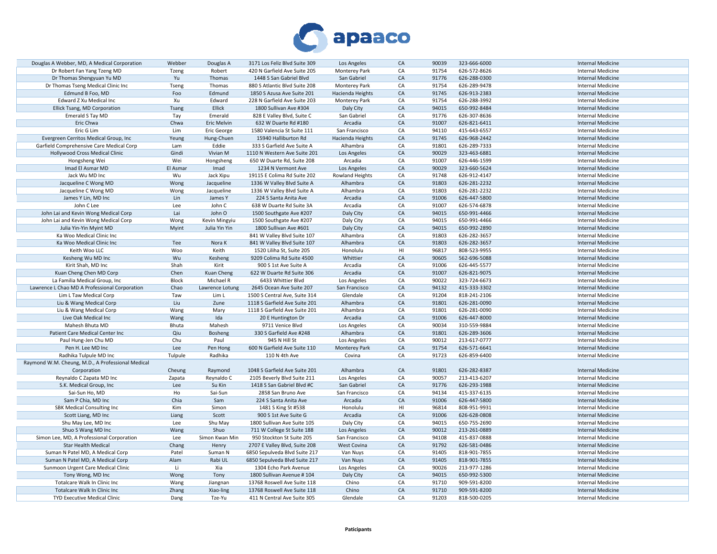

| Douglas A Webber, MD, A Medical Corporation       | Webber        | Douglas A               | 3171 Los Feliz Blvd Suite 309                                  | Los Angeles             | CA       | 90039          | 323-666-6000                 | Internal Medicine                                    |
|---------------------------------------------------|---------------|-------------------------|----------------------------------------------------------------|-------------------------|----------|----------------|------------------------------|------------------------------------------------------|
| Dr Robert Fan Yang Tzeng MD                       | <b>Tzeng</b>  | Robert                  | 420 N Garfield Ave Suite 205                                   | Monterey Park           | CA       | 91754          | 626-572-8626                 | Internal Medicine                                    |
| Dr Thomas Shengyuan Yu MD                         | Yu            | Thomas                  | 1448 S San Gabriel Blvd                                        | San Gabriel             | CA       | 91776          | 626-288-0300                 | <b>Internal Medicine</b>                             |
| Dr Thomas Tseng Medical Clinic Inc                | Tseng         | Thomas                  | 880 S Atlantic Blvd Suite 208                                  | Monterey Park           | CA       | 91754          | 626-289-9478                 | <b>Internal Medicine</b>                             |
| Edmund B Foo, MD                                  | Foo           | Edmund                  | 1850 S Azusa Ave Suite 201                                     | Hacienda Heights        | CA       | 91745          | 626-913-2383                 | <b>Internal Medicine</b>                             |
| Edward Z Xu Medical Inc                           | Xu            | Edward                  | 228 N Garfield Ave Suite 203                                   | Monterey Park           | CA       | 91754          | 626-288-3992                 | <b>Internal Medicine</b>                             |
| Ellick Tsang, MD Corporation                      | <b>Tsang</b>  | Ellick                  | 1800 Sullivan Ave #304                                         | Daly City               | CA       | 94015          | 650-992-8484                 | <b>Internal Medicine</b>                             |
| Emerald S Tay MD                                  | Tay           | Emerald                 | 828 E Valley Blvd, Suite C                                     | San Gabriel             | CA       | 91776          | 626-307-8636                 | <b>Internal Medicine</b>                             |
| Eric Chwa                                         | Chwa          | Eric Melvin             | 632 W Duarte Rd #180                                           | Arcadia                 | CA       | 91007          | 626-821-6411                 | <b>Internal Medicine</b>                             |
| Eric G Lim                                        | Lim           | Eric George             | 1580 Valencia St Suite 111                                     | San Francisco           | CA       | 94110          | 415-643-6557                 | <b>Internal Medicine</b>                             |
| Evergreen Cerritos Medical Group, Inc             | Yeung         | Hung-Chuen              | 15940 Halliburton Rd                                           | Hacienda Heights        | CA       | 91745          | 626-968-2442                 | <b>Internal Medicine</b>                             |
| Garfield Comprehensive Care Medical Corp          | Lam           | Eddie                   | 333 S Garfield Ave Suite A                                     | Alhambra                | CA       | 91801          | 626-289-7333                 | <b>Internal Medicine</b>                             |
| Hollywood Cross Medical Clinic                    | Gindi         | Vivian M                | 1110 N Western Ave Suite 201                                   | Los Angeles             | CA       | 90029          | 323-463-6881                 | <b>Internal Medicine</b>                             |
| Hongsheng Wei                                     | Wei           | Hongsheng               | 650 W Duarte Rd, Suite 208                                     | Arcadia                 | CA       | 91007          | 626-446-1599                 | <b>Internal Medicine</b>                             |
| Imad El Asmar MD                                  | El Asmar      | Imad                    | 1234 N Vermont Ave                                             | Los Angeles             | CA       | 90029          | 323-660-5624                 | Internal Medicine                                    |
| Jack Wu MD Inc                                    | Wu            | Jack Xipu               | 19115 E Colima Rd Suite 202                                    | Rowland Heights         | CA       | 91748          | 626-912-4147                 | Internal Medicine                                    |
| Jacqueline C Wong MD                              | Wong          | Jacqueline              | 1336 W Valley Blvd Suite A                                     | Alhambra                | CA       | 91803          | 626-281-2232                 | Internal Medicine                                    |
| Jacqueline C Wong MD                              | Wong          | Jacqueline              | 1336 W Valley Blvd Suite A                                     | Alhambra                | CA       | 91803          | 626-281-2232                 | <b>Internal Medicine</b>                             |
| James Y Lin, MD Inc                               | Lin           | James Y                 | 224 S Santa Anita Ave                                          | Arcadia                 | CA       | 91006          | 626-447-5800                 | <b>Internal Medicine</b>                             |
| John C Lee                                        | Lee           | John C                  | 638 W Duarte Rd Suite 3A                                       | Arcadia                 | CA       | 91007          | 626-574-6878                 | <b>Internal Medicine</b>                             |
| John Lai and Kevin Wong Medical Corp              | Lai           | John O                  | 1500 Southgate Ave #207                                        | Daly City               | CA       | 94015          | 650-991-4466                 | <b>Internal Medicine</b>                             |
| John Lai and Kevin Wong Medical Corp              | Wong          | Kevin Mingyiu           | 1500 Southgate Ave #207                                        | Daly City               | CA       | 94015          | 650-991-4466                 | <b>Internal Medicine</b>                             |
|                                                   |               | Julia Yin Yin           |                                                                |                         | CA       | 94015          | 650-992-2890                 | <b>Internal Medicine</b>                             |
| Julia Yin-Yin Myint MD                            | Myint         |                         | 1800 Sullivan Ave #601                                         | Daly City               | CA       | 91803          |                              |                                                      |
| Ka Woo Medical Clinic Inc                         |               |                         | 841 W Valley Blvd Suite 107                                    | Alhambra                | CA       |                | 626-282-3657                 | <b>Internal Medicine</b>                             |
| Ka Woo Medical Clinic Inc<br>Keith Woo LLC        | Tee           | Nora K                  | 841 W Valley Blvd Suite 107                                    | Alhambra                | HI       | 91803<br>96817 | 626-282-3657                 | <b>Internal Medicine</b><br><b>Internal Medicine</b> |
|                                                   | Woo           | Keith                   | 1520 Liliha St, Suite 205                                      | Honolulu                |          |                | 808-523-9955                 |                                                      |
| Kesheng Wu MD Inc                                 | Wu            | Kesheng                 | 9209 Colima Rd Suite 4500                                      | Whittier                | CA       | 90605          | 562-696-5088                 | <b>Internal Medicine</b>                             |
| Kirit Shah, MD Inc                                | Shah          | Kirit                   | 900 S 1st Ave Suite A                                          | Arcadia                 | CA       | 91006          | 626-445-5577                 | <b>Internal Medicine</b>                             |
| Kuan Cheng Chen MD Corp                           | Chen<br>Block | Kuan Cheng<br>Michael R | 622 W Duarte Rd Suite 306                                      | Arcadia                 | CA<br>CA | 91007          | 626-821-9075                 | <b>Internal Medicine</b>                             |
| La Familia Medical Group, Inc                     |               |                         | 6433 Whittier Blvd                                             | Los Angeles             |          | 90022          | 323-724-6673                 | Internal Medicine                                    |
| Lawrence L Chao MD A Professional Corporation     | Chao          | Lawrence Lotung         | 2645 Ocean Ave Suite 207                                       | San Francisco           | CA<br>CA | 94132<br>91204 | 415-333-3302                 | Internal Medicine                                    |
| Lim L Taw Medical Corp<br>Liu & Wang Medical Corp | Taw<br>Liu    | Lim L<br>Zune           | 1500 S Central Ave, Suite 314<br>1118 S Garfield Ave Suite 201 | Glendale<br>Alhambra    | CA       | 91801          | 818-241-2106<br>626-281-0090 | <b>Internal Medicine</b><br><b>Internal Medicine</b> |
|                                                   |               | Mary                    | 1118 S Garfield Ave Suite 201                                  | Alhambra                | CA       | 91801          | 626-281-0090                 |                                                      |
| Liu & Wang Medical Corp<br>Live Oak Medical Inc   | Wang<br>Wang  | Ida                     |                                                                | Arcadia                 | CA       | 91006          | 626-447-8000                 | Internal Medicine<br><b>Internal Medicine</b>        |
| Mahesh Bhuta MD                                   | Bhuta         | Mahesh                  | 20 E Huntington Dr                                             |                         | CA       | 90034          |                              | <b>Internal Medicine</b>                             |
|                                                   | Qiu           |                         | 9711 Venice Blvd<br>330 S Garfield Ave #248                    | Los Angeles<br>Alhambra | CA       | 91801          | 310-559-9884                 | <b>Internal Medicine</b>                             |
| Patient Care Medical Center Inc                   | Chu           | Bosheng                 |                                                                |                         | CA       |                | 626-289-3606                 |                                                      |
| Paul Hung-Jen Chu MD                              |               | Paul                    | 945 N Hill St                                                  | Los Angeles             |          | 90012          | 213-617-0777                 | Internal Medicine                                    |
| Pen H. Lee MD Inc                                 | Lee           | Pen Hong                | 600 N Garfield Ave Suite 110                                   | Monterey Park           | CA       | 91754          | 626-571-6641                 | <b>Internal Medicine</b>                             |
| Radhika Tulpule MD Inc                            | Tulpule       | Radhika                 | 110 N 4th Ave                                                  | Covina                  | CA       | 91723          | 626-859-6400                 | <b>Internal Medicine</b>                             |
| Raymond W.M. Cheung, M.D., A Professional Medical |               |                         |                                                                |                         |          |                |                              |                                                      |
| Corporation                                       | Cheung        | Raymond                 | 1048 S Garfield Ave Suite 201                                  | Alhambra                | CA       | 91801          | 626-282-8387                 | <b>Internal Medicine</b>                             |
| Reynaldo C Zapata MD Inc                          | Zapata        | Reynaldo C              | 2105 Beverly Blvd Suite 211                                    | Los Angeles             | CA       | 90057          | 213-413-6207                 | <b>Internal Medicine</b>                             |
| S.K. Medical Group, Inc.                          | Lee           | Su Kin                  | 1418 S San Gabriel Blvd #C                                     | San Gabriel             | CA       | 91776          | 626-293-1988                 | <b>Internal Medicine</b>                             |
| Sai-Sun Ho, MD                                    | Ho            | Sai-Sun                 | 2858 San Bruno Ave                                             | San Francisco           | CA       | 94134          | 415-337-6135                 | <b>Internal Medicine</b>                             |
| Sam P Chia, MD Inc                                | Chia          | Sam                     | 224 S Santa Anita Ave                                          | Arcadia                 | CA       | 91006          | 626-447-5800                 | <b>Internal Medicine</b>                             |
| <b>SBK Medical Consulting Inc</b>                 | Kim           | Simon                   | 1481 S King St #538                                            | Honolulu                | HI       | 96814          | 808-951-9931                 | <b>Internal Medicine</b>                             |
| Scott Liang, MD Inc                               | Liang         | Scott                   | 900 S 1st Ave Suite G                                          | Arcadia                 | CA       | 91006          | 626-628-0808                 | <b>Internal Medicine</b>                             |
| Shu May Lee, MD Inc                               | Lee           | Shu May                 | 1800 Sullivan Ave Suite 105                                    | Daly City               | CA       | 94015          | 650-755-2690                 | <b>Internal Medicine</b>                             |
| Shuo S Wang MD Inc                                | Wang          | Shuo                    | 711 W College St Suite 188                                     | Los Angeles             | CA       | 90012          | 213-261-0889                 | <b>Internal Medicine</b>                             |
| Simon Lee, MD, A Professional Corporation         | Lee           | Simon Kwan Min          | 950 Stockton St Suite 205                                      | San Francisco           | CA       | 94108          | 415-837-0888                 | Internal Medicine                                    |
| <b>Star Health Medical</b>                        | Chang         | Henry                   | 2707 E Valley Blvd, Suite 208                                  | West Covina             | CA       | 91792          | 626-581-0486                 | <b>Internal Medicine</b>                             |
| Suman N Patel MD, A Medical Corp                  | Patel         | Suman N                 | 6850 Sepulveda Blvd Suite 217                                  | Van Nuys                | CA       | 91405          | 818-901-7855                 | <b>Internal Medicine</b>                             |
| Suman N Patel MD, A Medical Corp                  | Alam          | Rabi UL                 | 6850 Sepulveda Blvd Suite 217                                  | Van Nuys                | CA       | 91405          | 818-901-7855                 | <b>Internal Medicine</b>                             |
| Sunmoon Urgent Care Medical Clinic                | Li            | Xia                     | 1304 Echo Park Avenue                                          | Los Angeles             | CA       | 90026          | 213-977-1286                 | Internal Medicine                                    |
| Tony Wong, MD Inc                                 | Wong          | Tony                    | 1800 Sullivan Avenue #104                                      | Daly City               | CA       | 94015          | 650-992-5300                 | <b>Internal Medicine</b>                             |
| Totalcare Walk In Clinic Inc                      | Wang          | Jiangnan                | 13768 Roswell Ave Suite 118                                    | Chino                   | CA       | 91710          | 909-591-8200                 | <b>Internal Medicine</b>                             |
| Totalcare Walk In Clinic Inc                      | Zhang         | Xiao-ling               | 13768 Roswell Ave Suite 118<br>411 N Central Ave Suite 305     | Chino<br>Glendale       | CA<br>CA | 91710          | 909-591-8200                 | <b>Internal Medicine</b>                             |
| <b>TYD Executive Medical Clinic</b>               | Dang          | Tze-Yu                  |                                                                |                         |          | 91203          | 818-500-0205                 | <b>Internal Medicine</b>                             |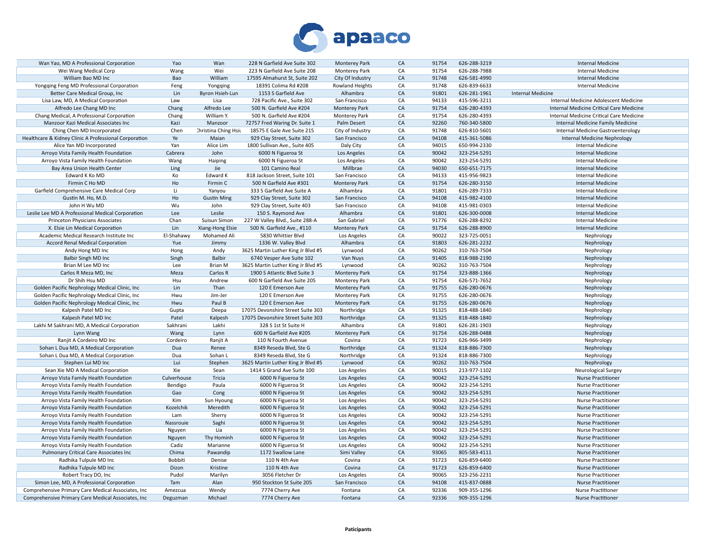

| Wan Yao, MD A Professional Corporation                | Yao         | Wan                  | 228 N Garfield Ave Suite 302       | Monterey Park        | CA | 91754 | 626-288-3219 | <b>Internal Medicine</b>                 |
|-------------------------------------------------------|-------------|----------------------|------------------------------------|----------------------|----|-------|--------------|------------------------------------------|
| Wei Wang Medical Corp                                 | Wang        | Wei                  | 223 N Garfield Ave Suite 208       | Monterey Park        | CA | 91754 | 626-288-7988 | Internal Medicine                        |
| William Bao MD Inc                                    | Bao         | William              | 17595 Almahurst St, Suite 202      | City Of Industry     | CA | 91748 | 626-581-4990 | <b>Internal Medicine</b>                 |
| Yongqing Feng MD Professional Corporation             | Feng        | Yongqing             | 18391 Colima Rd #208               | Rowland Heights      | CA | 91748 | 626-839-6633 | Internal Medicine                        |
| Better Care Medical Group, Inc                        | Lin         | Byron Hsieh-Lun      | 1153 S Garfield Ave                | Alhambra             | CA | 91801 | 626-281-1961 | <b>Internal Medicine</b>                 |
| Lisa Law, MD, A Medical Corporation                   | Law         | Lisa                 | 728 Pacific Ave., Suite 302        | San Francisco        | CA | 94133 | 415-596-3211 | Internal Medicine Adolescent Medicine    |
|                                                       |             | Alfredo Lee          | 500 N. Garfield Ave #204           |                      | CA | 91754 | 626-280-4393 | Internal Medicine Critical Care Medicine |
| Alfredo Lee Chang MD Inc                              | Chang       |                      |                                    | <b>Monterey Park</b> |    |       |              |                                          |
| Chang Medical, A Professional Corporation             | Chang       | William Y.           | 500 N. Garfield Ave #204           | Monterey Park        | CA | 91754 | 626-280-4393 | Internal Medicine Critical Care Medicine |
| Manzoor Kazi Medical Associates Inc                   | Kazi        | Manzoor              | 72757 Fred Waring Dr. Suite 1      | Palm Desert          | CA | 92260 | 760-340-5800 | Internal Medicine Family Medicine        |
| Ching Chen MD Incorporated                            | Chen        | Christina Ching Hsit | 18575 E Gale Ave Suite 215         | City of Industry     | CA | 91748 | 626-810-5601 | Internal Medicine Gastroenterology       |
| Healthcare & Kidney Clinic A Professional Corporation | Ye          | Maian                | 929 Clay Street, Suite 302         | San Francisco        | CA | 94108 | 415-361-5086 | <b>Internal Medicine Nephrology</b>      |
| Alice Yan MD Incorporated                             | Yan         | Alice Lim            | 1800 Sullivan Ave., Suite 405      | Daly City            | CA | 94015 | 650-994-2330 | <b>Internal Medicine</b>                 |
| Arroyo Vista Family Health Foundation                 | Cabrera     | John                 | 6000 N Figueroa St                 | Los Angeles          | CA | 90042 | 323-254-5291 | <b>Internal Medicine</b>                 |
| Arroyo Vista Family Health Foundation                 | Wang        | Haiping              | 6000 N Figueroa St                 | Los Angeles          | CA | 90042 | 323-254-5291 | <b>Internal Medicine</b>                 |
| Bay Area Union Health Center                          | Ling        | Jie                  | 101 Camino Real                    | Millbrae             | CA | 94030 | 650-651-7175 | <b>Internal Medicine</b>                 |
| Edward K Ko MD                                        | Ko          | Edward K             | 818 Jackson Street, Suite 101      | San Francisco        | CA | 94133 | 415-956-9823 | <b>Internal Medicine</b>                 |
| Firmin C Ho MD                                        | Ho          | Firmin C             | 500 N Garfield Ave #301            | <b>Monterey Park</b> | CA | 91754 | 626-280-3150 | <b>Internal Medicine</b>                 |
| Garfield Comprehensive Care Medical Corp              | Li          | Yanyou               | 333 S Garfield Ave Suite A         | Alhambra             | CA | 91801 | 626-289-7333 | <b>Internal Medicine</b>                 |
| Gustin M. Ho, M.D.                                    | Ho          | <b>Gustin Ming</b>   | 929 Clay Street, Suite 302         | San Francisco        | CA | 94108 | 415-982-4100 | <b>Internal Medicine</b>                 |
| John H Wu MD                                          | Wu          | John                 | 929 Clay Street, Suite 403         | San Francisco        | CA | 94108 | 415-981-0303 | <b>Internal Medicine</b>                 |
| Leslie Lee MD A Professional Medical Corporation      | Lee         | Leslie               | 150 S. Raymond Ave                 | Alhambra             | CA | 91801 | 626-300-0008 | <b>Internal Medicine</b>                 |
|                                                       | Chan        |                      |                                    | San Gabriel          | CA | 91776 | 626-288-8292 | <b>Internal Medicine</b>                 |
| Princeton Physicians Associates                       |             | Suisun Simon         | 227 W Valley Blvd., Suite 288-A    |                      |    |       |              |                                          |
| X. Elsie Lin Medical Corporation                      | Lin         | Xiang-Hong Elsie     | 500 N. Garfield Ave., #110         | Monterey Park        | CA | 91754 | 626-288-8900 | <b>Internal Medicine</b>                 |
| Academic Medical Research Institute Inc               | El-Shahawy  | Mohamed Ali          | 5830 Whittier Blvd                 | Los Angeles          | CA | 90022 | 323-725-0051 | Nephrology                               |
| Accord Renal Medical Corporation                      | Yue         | Jimmy                | 1336 W. Valley Blvd                | Alhambra             | CA | 91803 | 626-281-2232 | Nephrology                               |
| Andy Hong MD Inc                                      | Hong        | Andy                 | 3625 Martin Luther King Jr Blvd #5 | Lynwood              | CA | 90262 | 310-763-7504 | Nephrology                               |
| Balbir Singh MD Inc                                   | Singh       | Balbir               | 6740 Vesper Ave Suite 102          | Van Nuys             | CA | 91405 | 818-988-2190 | Nephrology                               |
| Brian M Lee MD Inc                                    | Lee         | Brian M              | 3625 Martin Luther King Jr Blvd #5 | Lynwood              | CA | 90262 | 310-763-7504 | Nephrology                               |
| Carlos R Meza MD, Inc                                 | Meza        | Carlos R             | 1900 S Atlantic Blvd Suite 3       | <b>Monterey Park</b> | CA | 91754 | 323-888-1366 | Nephrology                               |
| Dr Shih Hsu MD                                        | Hsu         | Andrew               | 600 N Garfield Ave Suite 205       | <b>Monterey Park</b> | CA | 91754 | 626-571-7652 | Nephrology                               |
| Golden Pacific Nephrology Medical Clinic, Inc.        | Lin         | Than                 | 120 E Emerson Ave                  | <b>Monterey Park</b> | CA | 91755 | 626-280-0676 | Nephrology                               |
| Golden Pacific Nephrology Medical Clinic, Inc.        | Hwu         | Jim-Jer              | 120 E Emerson Ave                  | <b>Monterey Park</b> | CA | 91755 | 626-280-0676 | Nephrology                               |
| Golden Pacific Nephrology Medical Clinic, Inc.        | Hwu         | Paul B               | 120 E Emerson Ave                  | <b>Monterey Park</b> | CA | 91755 | 626-280-0676 | Nephrology                               |
| Kalpesh Patel MD Inc                                  | Gupta       | Deepa                | 17075 Devonshire Street Suite 303  | Northridge           | CA | 91325 | 818-488-1840 | Nephrology                               |
| Kalpesh Patel MD Inc                                  | Patel       | Kalpesh              | 17075 Devonshire Street Suite 303  | Northridge           | CA | 91325 | 818-488-1840 | Nephrology                               |
|                                                       | Sakhrani    | Lakhi                | 328 S 1st St Suite H               |                      | CA | 91801 | 626-281-1903 |                                          |
| Lakhi M Sakhrani MD, A Medical Corporation            |             |                      |                                    | Alhambra             | CA |       |              | Nephrology                               |
| Lynn Wang                                             | Wang        | Lynn                 | 600 N Garfield Ave #205            | <b>Monterey Park</b> |    | 91754 | 626-288-0488 | Nephrology                               |
| Ranjit A Cordeiro MD Inc                              | Cordeiro    | Ranjit A             | 110 N Fourth Avenue                | Covina               | CA | 91723 | 626-966-3499 | Nephrology                               |
| Sohan L Dua MD, A Medical Corporation                 | Dua         | Renee                | 8349 Reseda Blvd, Ste G            | Northridge           | CA | 91324 | 818-886-7300 | Nephrology                               |
| Sohan L Dua MD, A Medical Corporation                 | Dua         | Sohan L              | 8349 Reseda Blvd, Ste G            | Northridge           | CA | 91324 | 818-886-7300 | Nephrology                               |
| Stephen Lui MD Inc                                    | Lui         | Stephen              | 3625 Martin Luther King Jr Blvd #5 | Lynwood              | CA | 90262 | 310-763-7504 | Nephrology                               |
| Sean Xie MD A Medical Corporation                     | Xie         | Sean                 | 1414 S Grand Ave Suite 100         | Los Angeles          | CA | 90015 | 213-977-1102 | Neurological Surgey                      |
| Arroyo Vista Family Health Foundation                 | Culverhouse | Tricia               | 6000 N Figueroa St                 | Los Angeles          | CA | 90042 | 323-254-5291 | <b>Nurse Practitioner</b>                |
| Arroyo Vista Family Health Foundation                 | Bendigo     | Paula                | 6000 N Figueroa St                 | Los Angeles          | CA | 90042 | 323-254-5291 | <b>Nurse Practitioner</b>                |
| Arroyo Vista Family Health Foundation                 | Gao         | Cong                 | 6000 N Figueroa St                 | Los Angeles          | CA | 90042 | 323-254-5291 | <b>Nurse Practitioner</b>                |
| Arroyo Vista Family Health Foundation                 | Kim         | Sun Hyoung           | 6000 N Figueroa St                 | Los Angeles          | CA | 90042 | 323-254-5291 | <b>Nurse Practitioner</b>                |
| Arroyo Vista Family Health Foundation                 | Kozelchik   | Meredith             | 6000 N Figueroa St                 | Los Angeles          | CA | 90042 | 323-254-5291 | <b>Nurse Practitioner</b>                |
| Arroyo Vista Family Health Foundation                 | Lam         | Sherry               | 6000 N Figueroa St                 | Los Angeles          | CA | 90042 | 323-254-5291 | <b>Nurse Practitioner</b>                |
| Arroyo Vista Family Health Foundation                 | Nassrouie   | Saghi                | 6000 N Figueroa St                 | Los Angeles          | CA | 90042 | 323-254-5291 | <b>Nurse Practitioner</b>                |
|                                                       |             | Lia                  | 6000 N Figueroa St                 |                      | CA | 90042 | 323-254-5291 | Nurse Practitioner                       |
| Arroyo Vista Family Health Foundation                 | Nguyen      |                      |                                    | Los Angeles          | CA |       |              |                                          |
| Arroyo Vista Family Health Foundation                 | Nguyen      | Thy Hominh           | 6000 N Figueroa St                 | Los Angeles          |    | 90042 | 323-254-5291 | <b>Nurse Practitioner</b>                |
| Arroyo Vista Family Health Foundation                 | Cadiz       | Marianne             | 6000 N Figueroa St                 | Los Angeles          | CA | 90042 | 323-254-5291 | <b>Nurse Practitioner</b>                |
| Pulmonary Critical Care Associates Inc                | Chima       | Pawandip             | 1172 Swallow Lane                  | Simi Valley          | CA | 93065 | 805-583-4111 | <b>Nurse Practitioner</b>                |
| Radhika Tulpule MD Inc                                | Bobbiti     | Denise               | 110 N 4th Ave                      | Covina               | CA | 91723 | 626-859-6400 | <b>Nurse Practitioner</b>                |
| Radhika Tulpule MD Inc                                | Dizon       | Kristine             | 110 N 4th Ave                      | Covina               | CA | 91723 | 626-859-6400 | <b>Nurse Practitioner</b>                |
| Robert Tracy DO, Inc                                  | Pudol       | Marilyn              | 3056 Fletcher Dr                   | Los Angeles          | CA | 90065 | 323-256-2231 | <b>Nurse Practitioner</b>                |
| Simon Lee, MD, A Professional Corporation             | Tam         | Alan                 | 950 Stockton St Suite 205          | San Francisco        | CA | 94108 | 415-837-0888 | <b>Nurse Practitioner</b>                |
| Comprehensive Primary Care Medical Associates, Inc    | Amezcua     | Wendy                | 7774 Cherry Ave                    | Fontana              | CA | 92336 | 909-355-1296 | <b>Nurse Practitioner</b>                |
| Comprehensive Primary Care Medical Associates, Inc    | Deguzman    | Michael              | 7774 Cherry Ave                    | Fontana              | CA | 92336 | 909-355-1296 | <b>Nurse Practitioner</b>                |
|                                                       |             |                      |                                    |                      |    |       |              |                                          |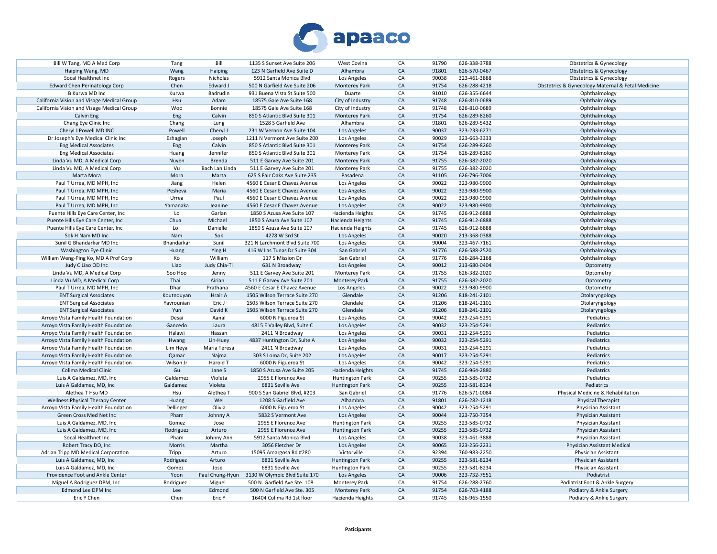

| Bill W Tang, MD A Med Corp                 | Tang       | Bill            | 1135 S Sunset Ave Suite 206    | West Covina            | CA         | 91790 | 626-338-3788 | <b>Obstetrics &amp; Gynecology</b>                |
|--------------------------------------------|------------|-----------------|--------------------------------|------------------------|------------|-------|--------------|---------------------------------------------------|
| Haiping Wang, MD                           | Wang       | Haiping         | 123 N Garfield Ave Suite D     | Alhambra               | CA         | 91801 | 626-570-0467 | <b>Obstetrics &amp; Gynecology</b>                |
| Socal Healthnet Inc                        | Rogers     | Nicholas        | 5912 Santa Monica Blvd         | Los Angeles            | CA         | 90038 | 323-461-3888 | Obstetrics & Gynecology                           |
| <b>Edward Chen Perinatology Corp</b>       | Chen       | Edward J        | 500 N Garfield Ave Suite 206   | Monterey Park          | CA         | 91754 | 626-288-4218 | Obstetrics & Gynecology Maternal & Fetal Medicine |
| B Kurwa MD Inc                             | Kurwa      | Badrudin        | 931 Buena Vista St Suite 500   | Duarte                 | CA         | 91010 | 626-355-6644 | Ophthalmology                                     |
| California Vision and Visage Medical Group | Hsu        | Adam            | 18575 Gale Ave Suite 168       | City of Industry       | ${\sf CA}$ | 91748 | 626-810-0689 | Ophthalmology                                     |
| California Vision and Visage Medical Group | Woo        | Bonnie          | 18575 Gale Ave Suite 168       | City of Industry       | CA         | 91748 | 626-810-0689 | Ophthalmology                                     |
|                                            |            |                 |                                |                        |            | 91754 |              |                                                   |
| Calvin Eng                                 | Eng        | Calvin          | 850 S Atlantic Blvd Suite 301  | Monterey Park          | ${\sf CA}$ |       | 626-289-8260 | Ophthalmology                                     |
| Chang Eye Clinic Inc                       | Chang      | Lung            | 1528 S Garfield Ave            | Alhambra               | CA         | 91801 | 626-289-5432 | Ophthalmology                                     |
| Cheryl J Powell MD INC                     | Powell     | Cheryl J        | 231 W Vernon Ave Suite 104     | Los Angeles            | CA         | 90037 | 323-233-6271 | Ophthalmology                                     |
| Dr Joseph's Eye Medical Clinic Inc         | Eshagian   | Joseph          | 1211 N Vermont Ave Suite 200   | Los Angeles            | CA         | 90029 | 323-663-3333 | Ophthalmology                                     |
| <b>Eng Medical Associates</b>              | Eng        | Calvin          | 850 S Atlantic Blvd Suite 301  | <b>Monterey Park</b>   | CA         | 91754 | 626-289-8260 | Ophthalmology                                     |
| <b>Eng Medical Associates</b>              | Huang      | Jennifer        | 850 S Atlantic Blvd Suite 301  | <b>Monterey Park</b>   | CA         | 91754 | 626-289-8260 | Ophthalmology                                     |
| Linda Vu MD, A Medical Corp                | Nuyen      | Brenda          | 511 E Garvey Ave Suite 201     | <b>Monterey Park</b>   | CA         | 91755 | 626-382-2020 | Ophthalmology                                     |
| Linda Vu MD, A Medical Corp                | Vu         | Bach Lan Linda  | 511 E Garvey Ave Suite 201     | Monterey Park          | CA         | 91755 | 626-382-2020 | Ophthalmology                                     |
| Marta Mora                                 | Mora       | Marta           | 625 S Fair Oaks Ave Suite 235  | Pasadena               | ${\sf CA}$ | 91105 | 626-796-7006 | Ophthalmology                                     |
| Paul T Urrea, MD MPH, Inc                  | Jiang      | Helen           | 4560 E Cesar E Chavez Avenue   | Los Angeles            | CA         | 90022 | 323-980-9900 | Ophthalmology                                     |
| Paul T Urrea, MD MPH, Inc                  | Pesheva    | Maria           | 4560 E Cesar E Chavez Avenue   | Los Angeles            | CA         | 90022 | 323-980-9900 | Ophthalmology                                     |
| Paul T Urrea, MD MPH, Inc                  | Urrea      | Paul            | 4560 E Cesar E Chavez Avenue   | Los Angeles            | CA         | 90022 | 323-980-9900 | Ophthalmology                                     |
| Paul T Urrea, MD MPH, Inc                  | Yamanaka   | Jeanine         | 4560 E Cesar E Chavez Avenue   | Los Angeles            | CA         | 90022 | 323-980-9900 | Ophthalmology                                     |
| Puente Hills Eye Care Center, Inc          | Lo         | Garlan          | 1850 S Azusa Ave Suite 107     | Hacienda Heights       | CA         | 91745 | 626-912-6888 | Ophthalmology                                     |
| Puente Hills Eye Care Center, Inc          | Chua       | Michael         | 1850 S Azusa Ave Suite 107     | Hacienda Heights       | CA         | 91745 | 626-912-6888 | Ophthalmology                                     |
|                                            |            | Danielle        | 1850 S Azusa Ave Suite 107     |                        | CA         | 91745 | 626-912-6888 |                                                   |
| Puente Hills Eye Care Center, Inc          | Lo         |                 |                                | Hacienda Heights       |            |       |              | Ophthalmology                                     |
| Sok H Nam MD Inc                           | Nam        | Sok             | 4278 W 3rd St                  | Los Angeles            | CA         | 90020 | 213-368-0388 | Ophthalmology                                     |
| Sunil G Bhandarkar MD Inc                  | Bhandarkar | Sunil           | 321 N Larchmont Blvd Suite 700 | Los Angeles            | CA         | 90004 | 323-467-7161 | Ophthalmology                                     |
| <b>Washington Eye Clinic</b>               | Huang      | Ying H          | 416 W Las Tunas Dr Suite 304   | San Gabriel            | CA         | 91776 | 626-588-2520 | Ophthalmology                                     |
| William Weng-Ping Ko, MD A Prof Corp       | Ko         | William         | 117 S Mission Dr               | San Gabriel            | CA         | 91776 | 626-284-2168 | Ophthalmology                                     |
| Judy C Liao OD Inc                         | Liao       | Judy Chia-Ti    | 631 N Broadway                 | Los Angeles            | CA         | 90012 | 213-680-0404 | Optometry                                         |
| Linda Vu MD, A Medical Corp                | Soo Hoo    | Jenny           | 511 E Garvey Ave Suite 201     | <b>Monterey Park</b>   | CA         | 91755 | 626-382-2020 | Optometry                                         |
| Linda Vu MD, A Medical Corp                | Thai       | Airian          | 511 E Garvey Ave Suite 201     | <b>Monterey Park</b>   | CA         | 91755 | 626-382-2020 | Optometry                                         |
| Paul T Urrea, MD MPH, Inc                  | Dhar       | Prathana        | 4560 E Cesar E Chavez Avenue   | Los Angeles            | CA         | 90022 | 323-980-9900 | Optometry                                         |
| <b>ENT Surgical Associates</b>             | Koutnouyan | Hrair A         | 1505 Wilson Terrace Suite 270  | Glendale               | CA         | 91206 | 818-241-2101 | Otolaryngology                                    |
| <b>ENT Surgical Associates</b>             | Yavrounian | Eric J          | 1505 Wilson Terrace Suite 270  | Glendale               | CA         | 91206 | 818-241-2101 | Otolaryngology                                    |
| <b>ENT Surgical Associates</b>             | Yun        | David K         | 1505 Wilson Terrace Suite 270  | Glendale               | CA         | 91206 | 818-241-2101 | Otolaryngology                                    |
| Arroyo Vista Family Health Foundation      | Desai      | Aanal           | 6000 N Figueroa St             | Los Angeles            | CA         | 90042 | 323-254-5291 | Pediatrics                                        |
| Arroyo Vista Family Health Foundation      | Gancedo    | Laura           | 4815 E Valley Blvd, Suite C    | Los Angeles            | CA         | 90032 | 323-254-5291 | Pediatrics                                        |
| Arroyo Vista Family Health Foundation      | Halawi     | Hassan          | 2411 N Broadway                | Los Angeles            | CA         | 90031 | 323-254-5291 | Pediatrics                                        |
|                                            |            |                 |                                |                        | CA         | 90032 |              | Pediatrics                                        |
| Arroyo Vista Family Health Foundation      | Hwang      | Lin-Huey        | 4837 Huntington Dr, Suite A    | Los Angeles            |            |       | 323-254-5291 |                                                   |
| Arroyo Vista Family Health Foundation      | Lim Heya   | Maria Teresa    | 2411 N Broadway                | Los Angeles            | CA         | 90031 | 323-254-5291 | Pediatrics                                        |
| Arroyo Vista Family Health Foundation      | Qamar      | Najma           | 303 S Loma Dr, Suite 202       | Los Angeles            | CA         | 90017 | 323-254-5291 | Pediatrics                                        |
| Arroyo Vista Family Health Foundation      | Wilson Jr  | Harold T        | 6000 N Figueroa St             | Los Angeles            | CA         | 90042 | 323-254-5291 | Pediatrics                                        |
| <b>Colima Medical Clinic</b>               | Gu         | Jane S          | 1850 S Azusa Ave Suite 205     | Hacienda Heights       | CA         | 91745 | 626-964-2880 | Pediatrics                                        |
| Luis A Galdamez, MD, Inc                   | Galdamez   | Violeta         | 2955 E Florence Ave            | <b>Huntington Park</b> | CA         | 90255 | 323-585-0732 | Pediatrics                                        |
| Luis A Galdamez, MD, Inc.                  | Galdamez   | Violeta         | 6831 Seville Ave               | Huntington Park        | CA         | 90255 | 323-581-8234 | Pediatrics                                        |
| Alethea T Hsu MD                           | Hsu        | Alethea T       | 900 S San Gabriel Blvd, #203   | San Gabriel            | CA         | 91776 | 626-571-0084 | Physical Medicine & Rehabilitation                |
| Wellness Physical Therapy Center           | Huang      | Wei             | 1208 S Garfield Ave            | Alhambra               | CA         | 91801 | 626-282-1218 | <b>Physical Therapist</b>                         |
| Arroyo Vista Family Health Foundation      | Dellinger  | Olivia          | 6000 N Figueroa St             | Los Angeles            | CA         | 90042 | 323-254-5291 | Physician Assistant                               |
| Green Cross Med Net Inc                    | Pham       | Johnny A        | 5832 S Vermont Ave             | Los Angeles            | CA         | 90044 | 323-750-7354 | Physician Assistant                               |
| Luis A Galdamez, MD, Inc                   | Gomez      | Jose            | 2955 E Florence Ave            | Huntington Park        | CA         | 90255 | 323-585-0732 | Physician Assistant                               |
| Luis A Galdamez, MD, Inc                   | Rodriguez  | Arturo          | 2955 E Florence Ave            | <b>Huntington Park</b> | ${\sf CA}$ | 90255 | 323-585-0732 | Physician Assistant                               |
|                                            |            |                 |                                |                        |            |       |              |                                                   |
| Socal Healthnet Inc                        | Pham       | Johnny Ann      | 5912 Santa Monica Blvd         | Los Angeles            | CA         | 90038 | 323-461-3888 | Physician Assistant                               |
| Robert Tracy DO, Inc                       | Morris     | Martha          | 3056 Fletcher Dr               | Los Angeles            | CA         | 90065 | 323-256-2231 | Physician Assistant Medical                       |
| Adrian Tripp MD Medical Corporation        | Tripp      | Arturo          | 15095 Amargosa Rd #280         | Victorville            | CA         | 92394 | 760-983-2250 | Physician Assistant                               |
| Luis A Galdamez, MD, Inc.                  | Rodriguez  | Arturo          | 6831 Seville Ave               | Huntington Park        | CA         | 90255 | 323-581-8234 | Physician Assistant                               |
| Luis A Galdamez, MD, Inc                   | Gomez      | Jose            | 6831 Seville Ave               | Huntington Park        | CA         | 90255 | 323-581-8234 | Physician Assistant                               |
| Providence Foot and Ankle Center           | Yoon       | Paul Chung-Hyun | 3130 W Olympic Blvd Suite 170  | Los Angeles            | CA         | 90006 | 323-732-7551 | Podiatrist                                        |
| Miguel A Rodriguez DPM, Inc                | Rodriguez  | Miguel          | 500 N. Garfield Ave Ste. 108   | <b>Monterey Park</b>   | CA         | 91754 | 626-288-2760 | Podiatrist Foot & Ankle Surgery                   |
| Edmond Lee DPM Inc                         | Lee        | Edmond          | 500 N Garfield Ave Ste. 305    | <b>Monterey Park</b>   | CA         | 91754 | 626-703-4188 | Podiatry & Ankle Surgery                          |
| Eric Y Chen                                | Chen       | Eric Y          | 16404 Colima Rd 1st floor      | Hacienda Heights       | CA         | 91745 | 626-965-1550 | Podiatry & Ankle Surgery                          |
|                                            |            |                 |                                |                        |            |       |              |                                                   |